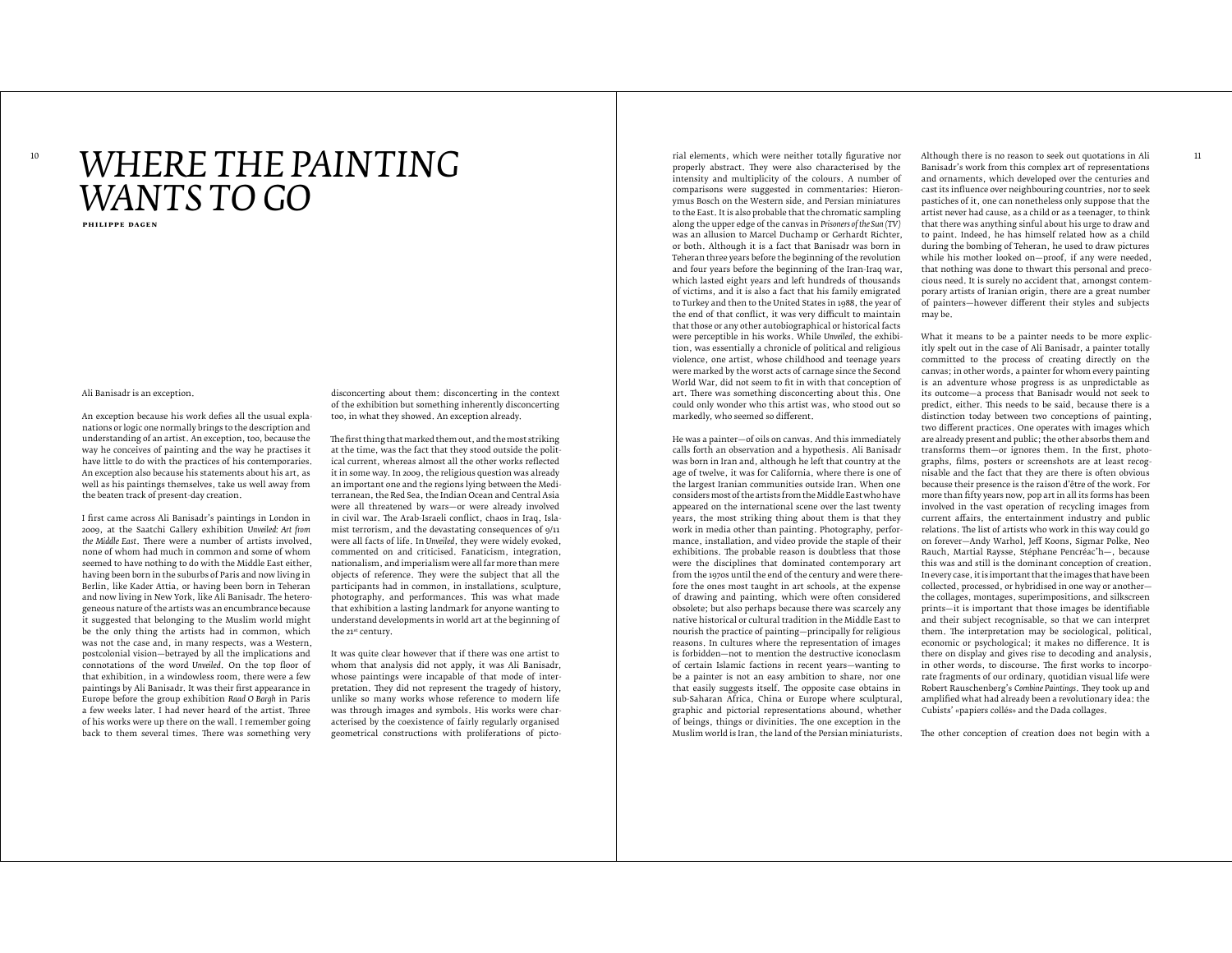## $^{10}$   $\mathbf{WHERE}$   $\mathbf{THEPE}$   $\mathbf{PAINTING}$   $^{10}$   $^{10}$   $^{10}$   $^{10}$   $^{10}$   $^{10}$   $^{10}$   $^{10}$   $^{10}$   $^{10}$   $^{10}$   $^{10}$   $^{10}$   $^{10}$   $^{10}$   $^{10}$   $^{10}$   $^{10}$   $^{10}$   $^{10}$   $^{10}$   $^{10}$   $^{10}$   $^{10}$   $^{10}$   $^{10}$  *WANTS TO GO*

**philippe dagen**

Ali Banisadr is an exception.

An exception because his work defies all the usual explanations or logic one normally brings to the description and understanding of an artist. An exception, too, because the way he conceives of painting and the way he practises it have little to do with the practices of his contemporaries. An exception also because his statements about his art, as well as his paintings themselves, take us well away from the beaten track of present-day creation.

I first came across Ali Banisadr's paintings in London in 2009, at the Saatchi Gallery exhibition *Unveiled: Art from*  the Middle East. There were a number of artists involved. none of whom had much in common and some of whom seemed to have nothing to do with the Middle East either, having been born in the suburbs of Paris and now living in Berlin, like Kader Attia, or having been born in Teheran and now living in New York, like Ali Banisadr. The heterogeneous nature of the artists was an encumbrance because it suggested that belonging to the Muslim world might be the only thing the artists had in common, which was not the case and, in many respects, was a Western, postcolonial vision—betrayed by all the implications and connotations of the word *Unveiled*. On the top floor of that exhibition, in a windowless room, there were a few paintings by Ali Banisadr. It was their first appearance in Europe before the group exhibition *Raad O Bargh* in Paris a few weeks later. I had never heard of the artist. Three of his works were up there on the wall. I remember going back to them several times. There was something very

disconcerting about them: disconcerting in the context of the exhibition but something inherently disconcerting too, in what they showed. An exception already.

The first thing that marked them out, and the most striking at the time, was the fact that they stood outside the political current, whereas almost all the other works reflected it in some way. In 2009, the religious question was already an important one and the regions lying between the Mediterranean, the Red Sea, the Indian Ocean and Central Asia were all threatened by wars—or were already involved in civil war. Te Arab-Israeli conflict, chaos in Iraq, Islamist terrorism, and the devastating consequences of 9/11 were all facts of life. In *Unveiled*, they were widely evoked, commented on and criticised. Fanaticism, integration, nationalism, and imperialism were all far more than mere objects of reference. They were the subject that all the participants had in common, in installations, sculpture, photography, and performances. Tis was what made that exhibition a lasting landmark for anyone wanting to understand developments in world art at the beginning of the 21st century.

It was quite clear however that if there was one artist to whom that analysis did not apply, it was Ali Banisadr, whose paintings were incapable of that mode of interpretation. They did not represent the tragedy of history, unlike so many works whose reference to modern life was through images and symbols. His works were characterised by the coexistence of fairly regularly organised geometrical constructions with proliferations of picto-

properly abstract. They were also characterised by the intensity and multiplicity of the colours. A number of comparisons were suggested in commentaries: Hieronymus Bosch on the Western side, and Persian miniatures to the East. It is also probable that the chromatic sampling along the upper edge of the canvas in *Prisoners of the Sun (TV)* was an allusion to Marcel Duchamp or Gerhardt Richter, or both. Although it is a fact that Banisadr was born in Teheran three years before the beginning of the revolution and four years before the beginning of the Iran-Iraq war, which lasted eight years and left hundreds of thousands of victims, and it is also a fact that his family emigrated to Turkey and then to the United States in 1988, the year of the end of that conflict, it was very difficult to maintain that those or any other autobiographical or historical facts were perceptible in his works. While *Unveiled*, the exhibition, was essentially a chronicle of political and religious violence, one artist, whose childhood and teenage years were marked by the worst acts of carnage since the Second World War, did not seem to fit in with that conception of art. There was something disconcerting about this. One could only wonder who this artist was, who stood out so markedly, who seemed so diferent.

He was a painter—of oils on canvas. And this immediately calls forth an observation and a hypothesis. Ali Banisadr was born in Iran and, although he left that country at the age of twelve, it was for California, where there is one of the largest Iranian communities outside Iran. When one considers most of the artists from the Middle East who have appeared on the international scene over the last twenty years, the most striking thing about them is that they work in media other than painting. Photography, performance, installation, and video provide the staple of their exhibitions. The probable reason is doubtless that those were the disciplines that dominated contemporary art from the 1970s until the end of the century and were therefore the ones most taught in art schools, at the expense of drawing and painting, which were often considered obsolete; but also perhaps because there was scarcely any native historical or cultural tradition in the Middle East to nourish the practice of painting—principally for religious reasons. In cultures where the representation of images is forbidden—not to mention the destructive iconoclasm of certain Islamic factions in recent years—wanting to be a painter is not an easy ambition to share, nor one that easily suggests itself. The opposite case obtains in sub-Saharan Africa, China or Europe where sculptural, graphic and pictorial representations abound, whether of beings, things or divinities. Te one exception in the Muslim world is Iran, the land of the Persian miniaturists.

Although there is no reason to seek out quotations in Ali Banisadr's work from this complex art of representations and ornaments, which developed over the centuries and cast its influence over neighbouring countries, nor to seek pastiches of it, one can nonetheless only suppose that the artist never had cause, as a child or as a teenager, to think that there was anything sinful about his urge to draw and to paint. Indeed, he has himself related how as a child during the bombing of Teheran, he used to draw pictures while his mother looked on—proof, if any were needed, that nothing was done to thwart this personal and precocious need. It is surely no accident that, amongst contemporary artists of Iranian origin, there are a great number of painters—however diferent their styles and subjects may be.

What it means to be a painter needs to be more explicitly spelt out in the case of Ali Banisadr, a painter totally committed to the process of creating directly on the canvas; in other words, a painter for whom every painting is an adventure whose progress is as unpredictable as its outcome—a process that Banisadr would not seek to predict, either. Tis needs to be said, because there is a distinction today between two conceptions of painting, two diferent practices. One operates with images which are already present and public; the other absorbs them and transforms them—or ignores them. In the first, photographs, films, posters or screenshots are at least recognisable and the fact that they are there is often obvious because their presence is the raison d'être of the work. For more than fifty years now, pop art in all its forms has been involved in the vast operation of recycling images from current afairs, the entertainment industry and public relations. Te list of artists who work in this way could go on forever-Andy Warhol, Jeff Koons, Sigmar Polke, Neo Rauch, Martial Raysse, Stéphane Pencréac'h—, because this was and still is the dominant conception of creation. In every case, it is important that the images that have been collected, processed, or hybridised in one way or another the collages, montages, superimpositions, and silkscreen prints—it is important that those images be identifiable and their subject recognisable, so that we can interpret them. The interpretation may be sociological, political, economic or psychological; it makes no diference. It is there on display and gives rise to decoding and analysis, in other words, to discourse. The first works to incorporate fragments of our ordinary, quotidian visual life were Robert Rauschenberg's *Combine Paintings*. They took up and amplified what had already been a revolutionary idea: the Cubists' «papiers collés» and the Dada collages.

The other conception of creation does not begin with a